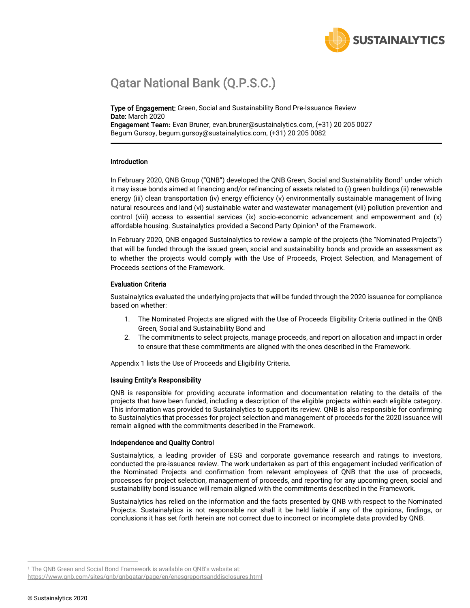<span id="page-0-0"></span>

## Qatar National Bank (Q.P.S.C.)

Type of Engagement: Green, Social and Sustainability Bond Pre-Issuance Review Date: March 2020 Engagement Team**:** Evan Bruner, evan.bruner@sustainalytics.com, (+31) 20 205 0027

Begum Gursoy, begum.gursoy@sustainalytics.com, (+31) 20 205 0082

#### Introduction

In February 2020, QNB Group ("QNB") developed the QNB Green, Social and Sustainability Bond<sup>1</sup> under which it may issue bonds aimed at financing and/or refinancing of assets related to (i) green buildings (ii) renewable energy (iii) clean transportation (iv) energy efficiency (v) environmentally sustainable management of living natural resources and land (vi) sustainable water and wastewater management (vii) pollution prevention and control (viii) access to essential services (ix) socio-economic advancement and empowerment and (x) affordable housing. Sustainalytics provided a Second Party Opinion<sup>[1](#page-0-0)</sup> of the Framework.

In February 2020, QNB engaged Sustainalytics to review a sample of the projects (the "Nominated Projects") that will be funded through the issued green, social and sustainability bonds and provide an assessment as to whether the projects would comply with the Use of Proceeds, Project Selection, and Management of Proceeds sections of the Framework.

### Evaluation Criteria

Sustainalytics evaluated the underlying projects that will be funded through the 2020 issuance for compliance based on whether:

- 1. The Nominated Projects are aligned with the Use of Proceeds Eligibility Criteria outlined in the QNB Green, Social and Sustainability Bond and
- 2. The commitments to select projects, manage proceeds, and report on allocation and impact in order to ensure that these commitments are aligned with the ones described in the Framework.

Appendix 1 lists the Use of Proceeds and Eligibility Criteria.

#### Issuing Entity's Responsibility

QNB is responsible for providing accurate information and documentation relating to the details of the projects that have been funded, including a description of the eligible projects within each eligible category. This information was provided to Sustainalytics to support its review. QNB is also responsible for confirming to Sustainalytics that processes for project selection and management of proceeds for the 2020 issuance will remain aligned with the commitments described in the Framework.

#### Independence and Quality Control

Sustainalytics, a leading provider of ESG and corporate governance research and ratings to investors, conducted the pre-issuance review. The work undertaken as part of this engagement included verification of the Nominated Projects and confirmation from relevant employees of QNB that the use of proceeds, processes for project selection, management of proceeds, and reporting for any upcoming green, social and sustainability bond issuance will remain aligned with the commitments described in the Framework.

Sustainalytics has relied on the information and the facts presented by QNB with respect to the Nominated Projects. Sustainalytics is not responsible nor shall it be held liable if any of the opinions, findings, or conclusions it has set forth herein are not correct due to incorrect or incomplete data provided by QNB.

<sup>&</sup>lt;sup>1</sup> The QNB Green and Social Bond Framework is available on QNB's website at:

<https://www.qnb.com/sites/qnb/qnbqatar/page/en/enesgreportsanddisclosures.html>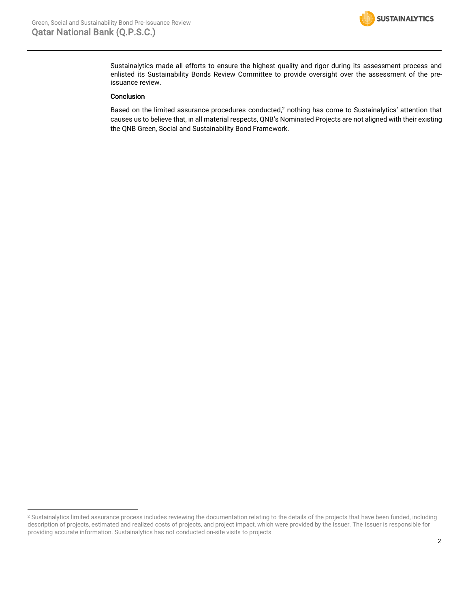

Sustainalytics made all efforts to ensure the highest quality and rigor during its assessment process and enlisted its Sustainability Bonds Review Committee to provide oversight over the assessment of the preissuance review.

#### Conclusion

Based on the limited assurance procedures conducted,<sup>2</sup> nothing has come to Sustainalytics' attention that causes us to believe that, in all material respects, QNB's Nominated Projects are not aligned with their existing the QNB Green, Social and Sustainability Bond Framework.

<sup>&</sup>lt;sup>2</sup> Sustainalytics limited assurance process includes reviewing the documentation relating to the details of the projects that have been funded, including description of projects, estimated and realized costs of projects, and project impact, which were provided by the Issuer. The Issuer is responsible for providing accurate information. Sustainalytics has not conducted on-site visits to projects.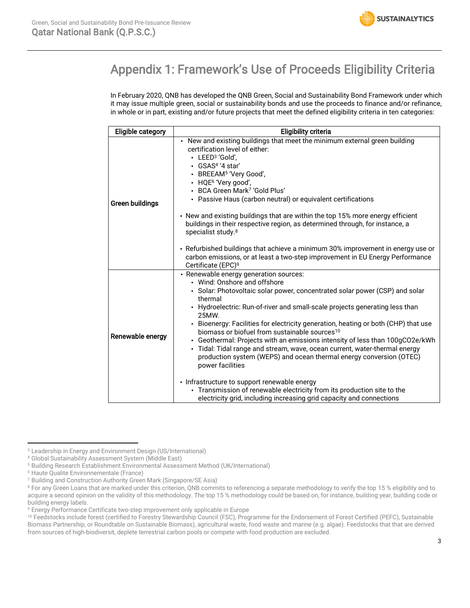## Appendix 1: Framework's Use of Proceeds Eligibility Criteria

In February 2020, QNB has developed the QNB Green, Social and Sustainability Bond Framework under which it may issue multiple green, social or sustainability bonds and use the proceeds to finance and/or refinance, in whole or in part, existing and/or future projects that meet the defined eligibility criteria in ten categories:

| <b>Eligible category</b> | <b>Eligibility criteria</b>                                                                                                                                                                                                                                                                                                                                                                                                                                                                                                                                                                                                                                    |  |  |
|--------------------------|----------------------------------------------------------------------------------------------------------------------------------------------------------------------------------------------------------------------------------------------------------------------------------------------------------------------------------------------------------------------------------------------------------------------------------------------------------------------------------------------------------------------------------------------------------------------------------------------------------------------------------------------------------------|--|--|
| Green buildings          | • New and existing buildings that meet the minimum external green building<br>certification level of either:<br>$\cdot$ LEED <sup>3</sup> 'Gold'.<br>· GSAS <sup>4</sup> '4 star'<br>• BREEAM <sup>5</sup> 'Very Good',<br>• HQE <sup>6</sup> 'Very good',<br>• BCA Green Mark <sup>7</sup> 'Gold Plus'<br>• Passive Haus (carbon neutral) or equivalent certifications<br>• New and existing buildings that are within the top 15% more energy efficient<br>buildings in their respective region, as determined through, for instance, a<br>specialist study. <sup>8</sup><br>• Refurbished buildings that achieve a minimum 30% improvement in energy use or |  |  |
|                          | carbon emissions, or at least a two-step improvement in EU Energy Performance<br>Certificate (EPC) <sup>9</sup>                                                                                                                                                                                                                                                                                                                                                                                                                                                                                                                                                |  |  |
|                          | • Renewable energy generation sources:<br>• Wind: Onshore and offshore                                                                                                                                                                                                                                                                                                                                                                                                                                                                                                                                                                                         |  |  |
| Renewable energy         | • Solar: Photovoltaic solar power, concentrated solar power (CSP) and solar<br>thermal                                                                                                                                                                                                                                                                                                                                                                                                                                                                                                                                                                         |  |  |
|                          | • Hydroelectric: Run-of-river and small-scale projects generating less than<br>25MW.                                                                                                                                                                                                                                                                                                                                                                                                                                                                                                                                                                           |  |  |
|                          | • Bioenergy: Facilities for electricity generation, heating or both (CHP) that use<br>biomass or biofuel from sustainable sources <sup>10</sup>                                                                                                                                                                                                                                                                                                                                                                                                                                                                                                                |  |  |
|                          | • Geothermal: Projects with an emissions intensity of less than 100gCO2e/kWh<br>• Tidal: Tidal range and stream, wave, ocean current, water-thermal energy<br>production system (WEPS) and ocean thermal energy conversion (OTEC)<br>power facilities                                                                                                                                                                                                                                                                                                                                                                                                          |  |  |
|                          | • Infrastructure to support renewable energy<br>• Transmission of renewable electricity from its production site to the<br>electricity grid, including increasing grid capacity and connections                                                                                                                                                                                                                                                                                                                                                                                                                                                                |  |  |

<sup>3</sup> Leadership in Energy and Environment Design (US/International)

<sup>4</sup> Global Sustainability Assessment System (Middle East)

<sup>5</sup> Building Research Establishment Environmental Assessment Method (UK/International)

<sup>6</sup> Haute Qualite Environnementale (France)

<sup>7</sup> Building and Construction Authority Green Mark (Singapore/SE Asia)

<sup>&</sup>lt;sup>8</sup> For any Green Loans that are marked under this criterion, QNB commits to referencing a separate methodology to verify the top 15 % eligibility and to acquire a second opinion on the validity of this methodology. The top 15 % methodology could be based on, for instance, building year, building code or building energy labels.

<sup>9</sup> Energy Performance Certificate two-step improvement only applicable in Europe

<sup>&</sup>lt;sup>10</sup> Feedstocks include forest (certified to Forestry Stewardship Council (FSC), Programme for the Endorsement of Forest Certified (PEFC), Sustainable Biomass Partnership, or Roundtable on Sustainable Biomass), agricultural waste, food waste and marine (e.g. algae). Feedstocks that that are derived from sources of high-biodiversit, deplete terrestrial carbon pools or compete with food production are excluded.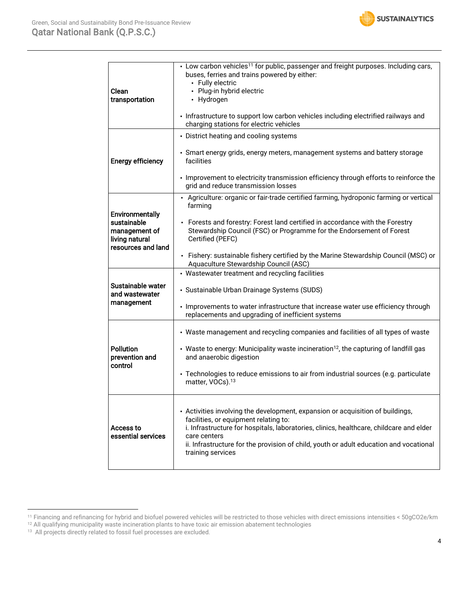

| Clean<br>transportation                                                                        | • Low carbon vehicles <sup>11</sup> for public, passenger and freight purposes. Including cars,<br>buses, ferries and trains powered by either:<br>• Fully electric<br>• Plug-in hybrid electric<br>• Hydrogen<br>• Infrastructure to support low carbon vehicles including electrified railways and<br>charging stations for electric vehicles                                                                |  |  |
|------------------------------------------------------------------------------------------------|----------------------------------------------------------------------------------------------------------------------------------------------------------------------------------------------------------------------------------------------------------------------------------------------------------------------------------------------------------------------------------------------------------------|--|--|
| <b>Energy efficiency</b>                                                                       | • District heating and cooling systems<br>• Smart energy grids, energy meters, management systems and battery storage<br>facilities<br>• Improvement to electricity transmission efficiency through efforts to reinforce the<br>grid and reduce transmission losses                                                                                                                                            |  |  |
| <b>Environmentally</b><br>sustainable<br>management of<br>living natural<br>resources and land | • Agriculture: organic or fair-trade certified farming, hydroponic farming or vertical<br>farming<br>• Forests and forestry: Forest land certified in accordance with the Forestry<br>Stewardship Council (FSC) or Programme for the Endorsement of Forest<br>Certified (PEFC)<br>• Fishery: sustainable fishery certified by the Marine Stewardship Council (MSC) or<br>Aquaculture Stewardship Council (ASC) |  |  |
| Sustainable water<br>and wastewater<br>management                                              | • Wastewater treatment and recycling facilities<br>· Sustainable Urban Drainage Systems (SUDS)<br>• Improvements to water infrastructure that increase water use efficiency through<br>replacements and upgrading of inefficient systems                                                                                                                                                                       |  |  |
| <b>Pollution</b><br>prevention and<br>control                                                  | • Waste management and recycling companies and facilities of all types of waste<br>• Waste to energy: Municipality waste incineration <sup>12</sup> , the capturing of landfill gas<br>and anaerobic digestion<br>• Technologies to reduce emissions to air from industrial sources (e.g. particulate<br>matter, VOCs). <sup>13</sup>                                                                          |  |  |
| <b>Access to</b><br>essential services                                                         | • Activities involving the development, expansion or acquisition of buildings,<br>facilities, or equipment relating to:<br>i. Infrastructure for hospitals, laboratories, clinics, healthcare, childcare and elder<br>care centers<br>ii. Infrastructure for the provision of child, youth or adult education and vocational<br>training services                                                              |  |  |

<sup>11</sup> Financing and refinancing for hybrid and biofuel powered vehicles will be restricted to those vehicles with direct emissions intensities < 50gCO2e/km

<sup>&</sup>lt;sup>12</sup> All qualifying municipality waste incineration plants to have toxic air emission abatement technologies

<sup>&</sup>lt;sup>13</sup> All projects directly related to fossil fuel processes are excluded.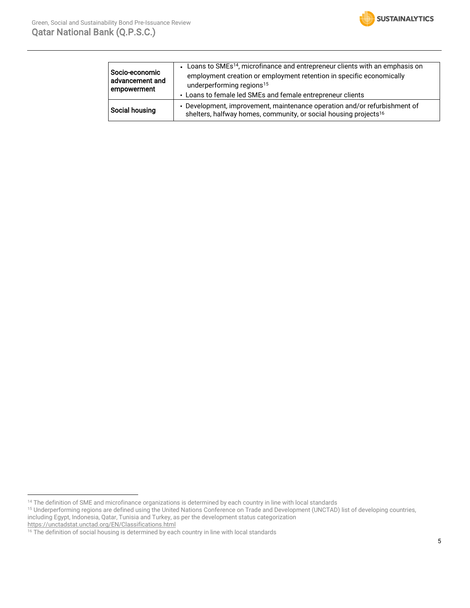

| Socio-economic<br>advancement and<br>empowerment | • Loans to SMEs <sup>14</sup> , microfinance and entrepreneur clients with an emphasis on<br>employment creation or employment retention in specific economically<br>underperforming regions <sup>15</sup><br>• Loans to female led SMEs and female entrepreneur clients |
|--------------------------------------------------|--------------------------------------------------------------------------------------------------------------------------------------------------------------------------------------------------------------------------------------------------------------------------|
| Social housing                                   | • Development, improvement, maintenance operation and/or refurbishment of<br>shelters, halfway homes, community, or social housing projects <sup>16</sup>                                                                                                                |

<sup>&</sup>lt;sup>14</sup> The definition of SME and microfinance organizations is determined by each country in line with local standards

<sup>&</sup>lt;sup>15</sup> Underperforming regions are defined using the United Nations Conference on Trade and Development (UNCTAD) list of developing countries, including Egypt, Indonesia, Qatar, Tunisia and Turkey, as per the development status categorization <https://unctadstat.unctad.org/EN/Classifications.html>

 $16$  The definition of social housing is determined by each country in line with local standards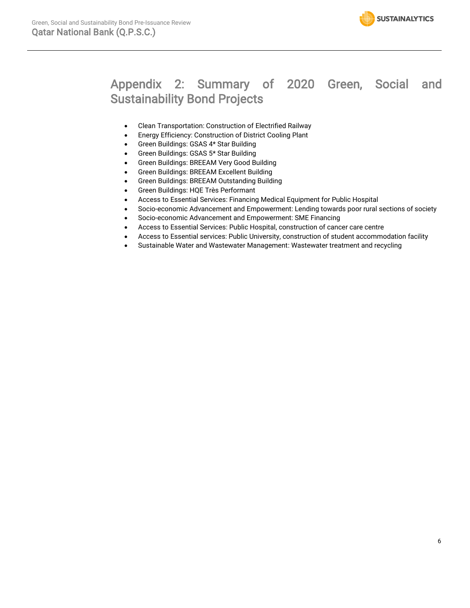

### Appendix 2: Summary of 2020 Green, Social and Sustainability Bond Projects

- Clean Transportation: Construction of Electrified Railway
- Energy Efficiency: Construction of District Cooling Plant
- Green Buildings: GSAS 4\* Star Building
- Green Buildings: GSAS 5\* Star Building
- Green Buildings: BREEAM Very Good Building
- Green Buildings: BREEAM Excellent Building
- Green Buildings: BREEAM Outstanding Building
- Green Buildings: HQE Très Performant
- Access to Essential Services: Financing Medical Equipment for Public Hospital
- Socio-economic Advancement and Empowerment: Lending towards poor rural sections of society
- Socio-economic Advancement and Empowerment: SME Financing
- Access to Essential Services: Public Hospital, construction of cancer care centre
- Access to Essential services: Public University, construction of student accommodation facility
- Sustainable Water and Wastewater Management: Wastewater treatment and recycling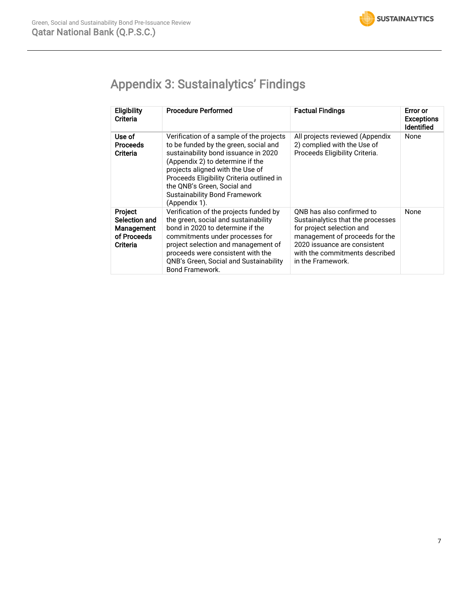# Appendix 3: Sustainalytics' Findings

| <b>Eligibility</b><br>Criteria                                           | <b>Procedure Performed</b>                                                                                                                                                                                                                                                                                                             | <b>Factual Findings</b>                                                                                                                                                                                              | Error or<br><b>Exceptions</b><br>Identified |
|--------------------------------------------------------------------------|----------------------------------------------------------------------------------------------------------------------------------------------------------------------------------------------------------------------------------------------------------------------------------------------------------------------------------------|----------------------------------------------------------------------------------------------------------------------------------------------------------------------------------------------------------------------|---------------------------------------------|
| Use of<br><b>Proceeds</b><br>Criteria                                    | Verification of a sample of the projects<br>to be funded by the green, social and<br>sustainability bond issuance in 2020<br>(Appendix 2) to determine if the<br>projects aligned with the Use of<br>Proceeds Eligibility Criteria outlined in<br>the ONB's Green. Social and<br><b>Sustainability Bond Framework</b><br>(Appendix 1). | All projects reviewed (Appendix<br>2) complied with the Use of<br>Proceeds Eligibility Criteria.                                                                                                                     | None                                        |
| <b>Project</b><br>Selection and<br>Management<br>of Proceeds<br>Criteria | Verification of the projects funded by<br>the green, social and sustainability<br>bond in 2020 to determine if the<br>commitments under processes for<br>project selection and management of<br>proceeds were consistent with the<br>QNB's Green, Social and Sustainability<br>Bond Framework.                                         | ONB has also confirmed to<br>Sustainalytics that the processes<br>for project selection and<br>management of proceeds for the<br>2020 issuance are consistent<br>with the commitments described<br>in the Framework. | None                                        |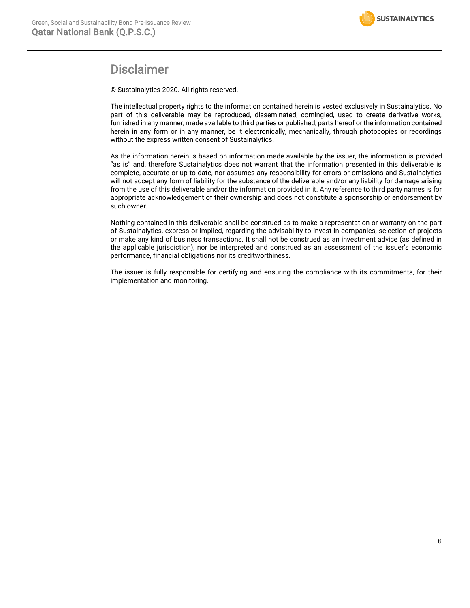

### Disclaimer

© Sustainalytics 2020. All rights reserved.

The intellectual property rights to the information contained herein is vested exclusively in Sustainalytics. No part of this deliverable may be reproduced, disseminated, comingled, used to create derivative works, furnished in any manner, made available to third parties or published, parts hereof or the information contained herein in any form or in any manner, be it electronically, mechanically, through photocopies or recordings without the express written consent of Sustainalytics.

As the information herein is based on information made available by the issuer, the information is provided "as is" and, therefore Sustainalytics does not warrant that the information presented in this deliverable is complete, accurate or up to date, nor assumes any responsibility for errors or omissions and Sustainalytics will not accept any form of liability for the substance of the deliverable and/or any liability for damage arising from the use of this deliverable and/or the information provided in it. Any reference to third party names is for appropriate acknowledgement of their ownership and does not constitute a sponsorship or endorsement by such owner.

Nothing contained in this deliverable shall be construed as to make a representation or warranty on the part of Sustainalytics, express or implied, regarding the advisability to invest in companies, selection of projects or make any kind of business transactions. It shall not be construed as an investment advice (as defined in the applicable jurisdiction), nor be interpreted and construed as an assessment of the issuer's economic performance, financial obligations nor its creditworthiness.

The issuer is fully responsible for certifying and ensuring the compliance with its commitments, for their implementation and monitoring.